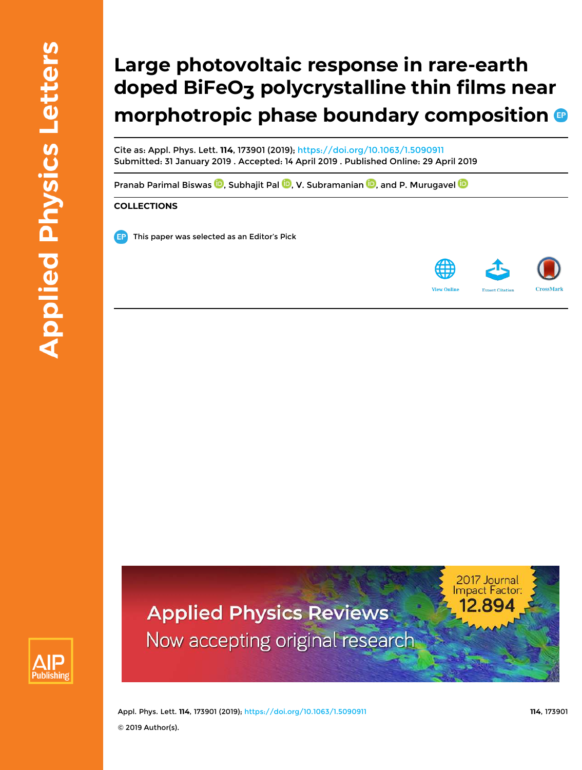# **Large photovoltaic response in rare-earth doped BiFeO3 polycrystalline thin films near morphotropic phase boundary composition**

Cite as: Appl. Phys. Lett. **114**, 173901 (2019); https://doi.org/10.1063/1.5090911 Submitted: 31 January 2019 . Accepted: 14 April 2019 . Published Online: 29 April 2019

Pranab Parimal Biswas  $\overline{\mathbb{D}}$ , Subhajit Pal  $\overline{\mathbb{D}}$ , V. Subramanian  $\overline{\mathbb{D}}$ , and P. Murugavel  $\overline{\mathbb{D}}$ 

### **COLLECTIONS**

This paper was selected as an Editor's Pick



2017 Journal **Impact Factor:** 



**Applied Physics Reviews** Now accepting original research

Appl. Phys. Lett. **114**, 173901 (2019); https://doi.org/10.1063/1.5090911 **114**, 173901 © 2019 Author(s).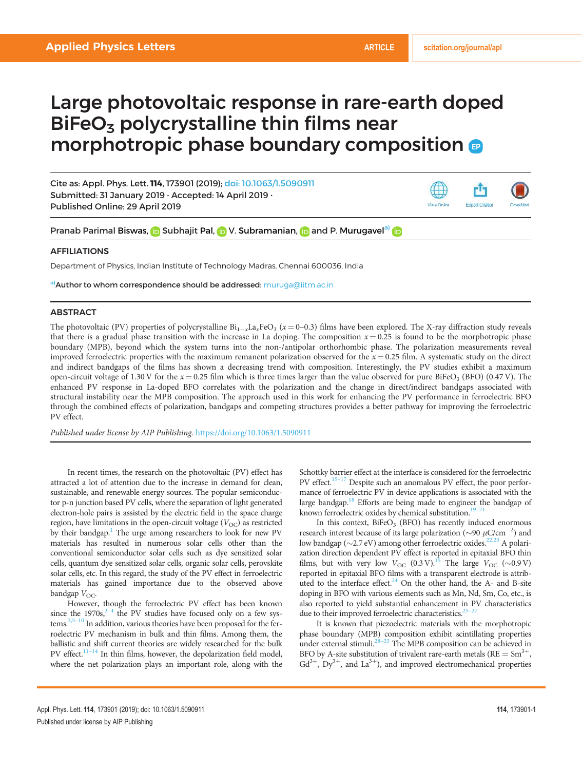**Export Citatio** 

View Online

## Large photovoltaic response in rare-earth doped  $BiFeO<sub>3</sub>$  polycrystalline thin films near morphotropic phase boundary composition

Cite as: Appl. Phys. Lett. 114, 173901 (2019); doi: 10.1063/1.5090911 Submitted: 31 January 2019 . Accepted: 14 April 2019 . Published Online: 29 April 2019

Pranab Parimal Biswas, **i** Subhajit Pal, **D** V. Subramanian, **D** and P. Murugavel<sup>a</sup> **D** 

#### AFFILIATIONS

Department of Physics, Indian Institute of Technology Madras, Chennai 600036, India

a) **Author to whom correspondence should be addressed:** muruga@iitm.ac.in

#### ABSTRACT

The photovoltaic (PV) properties of polycrystalline  $Bi_{1-x}La_xFeO_3$  ( $x=0-0.3$ ) films have been explored. The X-ray diffraction study reveals that there is a gradual phase transition with the increase in La doping. The composition  $x = 0.25$  is found to be the morphotropic phase boundary (MPB), beyond which the system turns into the non-/antipolar orthorhombic phase. The polarization measurements reveal improved ferroelectric properties with the maximum remanent polarization observed for the  $x = 0.25$  film. A systematic study on the direct and indirect bandgaps of the films has shown a decreasing trend with composition. Interestingly, the PV studies exhibit a maximum open-circuit voltage of 1.30 V for the  $x = 0.25$  film which is three times larger than the value observed for pure BiFeO<sub>3</sub> (BFO) (0.47 V). The enhanced PV response in La-doped BFO correlates with the polarization and the change in direct/indirect bandgaps associated with structural instability near the MPB composition. The approach used in this work for enhancing the PV performance in ferroelectric BFO through the combined effects of polarization, bandgaps and competing structures provides a better pathway for improving the ferroelectric PV effect.

Published under license by AIP Publishing. https://doi.org/10.1063/1.5090911

In recent times, the research on the photovoltaic (PV) effect has attracted a lot of attention due to the increase in demand for clean, sustainable, and renewable energy sources. The popular semiconductor p-n junction based PV cells, where the separation of light generated electron-hole pairs is assisted by the electric field in the space charge region, have limitations in the open-circuit voltage  $(V_{OC})$  as restricted by their bandgap.<sup>1</sup> The urge among researchers to look for new PV materials has resulted in numerous solar cells other than the conventional semiconductor solar cells such as dye sensitized solar cells, quantum dye sensitized solar cells, organic solar cells, perovskite solar cells, etc. In this regard, the study of the PV effect in ferroelectric materials has gained importance due to the observed above bandgap  $V_{OC}$ .

However, though the ferroelectric PV effect has been known since the 1970s, $2^{-4}$  the PV studies have focused only on a few systems.<sup>3,5–10</sup> In addition, various theories have been proposed for the ferroelectric PV mechanism in bulk and thin films. Among them, the ballistic and shift current theories are widely researched for the bulk PV effect. $11-14$  In thin films, however, the depolarization field model, where the net polarization plays an important role, along with the

Schottky barrier effect at the interface is considered for the ferroelectric PV effect.<sup>15–17</sup> Despite such an anomalous PV effect, the poor performance of ferroelectric PV in device applications is associated with the large bandgap.<sup>18</sup> Efforts are being made to engineer the bandgap of known ferroelectric oxides by chemical substitution.<sup>19-21</sup>

In this context,  $BiFeO<sub>3</sub>$  (BFO) has recently induced enormous research interest because of its large polarization ( $\sim$ 90  $\mu$ C/cm<sup>-2</sup>) and low bandgap ( $\sim$ 2.7 eV) among other ferroelectric oxides.<sup>22,23</sup> A polarization direction dependent PV effect is reported in epitaxial BFO thin films, but with very low  $V_{\text{OC}}$  (0.3 V).<sup>15</sup> The large  $V_{\text{OC}}$  (~0.9 V) reported in epitaxial BFO films with a transparent electrode is attributed to the interface effect.<sup>24</sup> On the other hand, the A- and B-site doping in BFO with various elements such as Mn, Nd, Sm, Co, etc., is also reported to yield substantial enhancement in PV characteristics due to their improved ferroelectric characteristics.<sup>2</sup>

It is known that piezoelectric materials with the morphotropic phase boundary (MPB) composition exhibit scintillating properties under external stimuli.<sup>28-33</sup> The MPB composition can be achieved in BFO by A-site substitution of trivalent rare-earth metals ( $RE = Sm^{3+}$ ,  $Gd^{3+}$ ,  $Dy^{3+}$ , and La<sup>3+</sup>), and improved electromechanical properties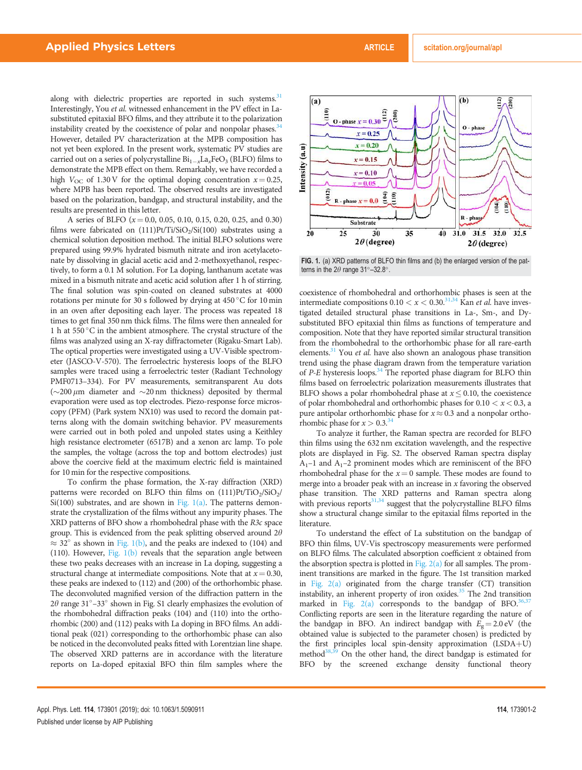along with dielectric properties are reported in such systems. $31$ Interestingly, You et al. witnessed enhancement in the PV effect in Lasubstituted epitaxial BFO films, and they attribute it to the polarization instability created by the coexistence of polar and nonpolar phases.<sup>34</sup> However, detailed PV characterization at the MPB composition has not yet been explored. In the present work, systematic PV studies are carried out on a series of polycrystalline  $Bi_{1-x}La_xFeO_3$  (BLFO) films to demonstrate the MPB effect on them. Remarkably, we have recorded a high  $V_{\text{OC}}$  of 1.30 V for the optimal doping concentration  $x = 0.25$ , where MPB has been reported. The observed results are investigated based on the polarization, bandgap, and structural instability, and the results are presented in this letter.

A series of BLFO  $(x = 0.0, 0.05, 0.10, 0.15, 0.20, 0.25,$  and 0.30) films were fabricated on  $(111)Pt/Ti/SiO<sub>2</sub>/Si(100)$  substrates using a chemical solution deposition method. The initial BLFO solutions were prepared using 99.9% hydrated bismuth nitrate and iron acetylacetonate by dissolving in glacial acetic acid and 2-methoxyethanol, respectively, to form a 0.1 M solution. For La doping, lanthanum acetate was mixed in a bismuth nitrate and acetic acid solution after 1 h of stirring. The final solution was spin-coated on cleaned substrates at 4000 rotations per minute for 30 s followed by drying at 450 °C for 10 min in an oven after depositing each layer. The process was repeated 18 times to get final 350 nm thick films. The films were then annealed for 1 h at  $550\,^{\circ}$ C in the ambient atmosphere. The crystal structure of the films was analyzed using an X-ray diffractometer (Rigaku-Smart Lab). The optical properties were investigated using a UV-Visible spectrometer (JASCO-V-570). The ferroelectric hysteresis loops of the BLFO samples were traced using a ferroelectric tester (Radiant Technology PMF0713–334). For PV measurements, semitransparent Au dots ( $\sim$ 200  $\mu$ m diameter and  $\sim$ 20 nm thickness) deposited by thermal evaporation were used as top electrodes. Piezo-response force microscopy (PFM) (Park system NX10) was used to record the domain patterns along with the domain switching behavior. PV measurements were carried out in both poled and unpoled states using a Keithley high resistance electrometer (6517B) and a xenon arc lamp. To pole the samples, the voltage (across the top and bottom electrodes) just above the coercive field at the maximum electric field is maintained for 10 min for the respective compositions.

To confirm the phase formation, the X-ray diffraction (XRD) patterns were recorded on BLFO thin films on  $(111)$ Pt/TiO<sub>2</sub>/SiO<sub>2</sub>/ Si(100) substrates, and are shown in Fig.  $1(a)$ . The patterns demonstrate the crystallization of the films without any impurity phases. The XRD patterns of BFO show a rhombohedral phase with the R3c space group. This is evidenced from the peak splitting observed around  $2\theta$  $\approx$  32° as shown in Fig. 1(b), and the peaks are indexed to (104) and (110). However, Fig. 1(b) reveals that the separation angle between these two peaks decreases with an increase in La doping, suggesting a structural change at intermediate compositions. Note that at  $x = 0.30$ , these peaks are indexed to (112) and (200) of the orthorhombic phase. The deconvoluted magnified version of the diffraction pattern in the  $2\theta$  range  $31^{\circ}-33^{\circ}$  shown in Fig. S1 clearly emphasizes the evolution of the rhombohedral diffraction peaks (104) and (110) into the orthorhombic (200) and (112) peaks with La doping in BFO films. An additional peak (021) corresponding to the orthorhombic phase can also be noticed in the deconvoluted peaks fitted with Lorentzian line shape. The observed XRD patterns are in accordance with the literature reports on La-doped epitaxial BFO thin film samples where the



FIG. 1. (a) XRD patterns of BLFO thin films and (b) the enlarged version of the patterns in the  $2\theta$  range  $31^{\circ} - 32.8^{\circ}$ .

coexistence of rhombohedral and orthorhombic phases is seen at the intermediate compositions  $0.10 < x < 0.30$ .<sup>31,34</sup> Kan *et al.* have investigated detailed structural phase transitions in La-, Sm-, and Dysubstituted BFO epitaxial thin films as functions of temperature and composition. Note that they have reported similar structural transition from the rhombohedral to the orthorhombic phase for all rare-earth elements. $31$  You *et al.* have also shown an analogous phase transition trend using the phase diagram drawn from the temperature variation of  $P-E$  hysteresis loops.<sup>34</sup> The reported phase diagram for BLFO thin films based on ferroelectric polarization measurements illustrates that BLFO shows a polar rhombohedral phase at  $x \leq 0.10$ , the coexistence of polar rhombohedral and orthorhombic phases for  $0.10 < x < 0.3$ , a pure antipolar orthorhombic phase for  $x \approx 0.3$  and a nonpolar orthorhombic phase for  $x > 0.3$ .<sup>34</sup>

To analyze it further, the Raman spectra are recorded for BLFO thin films using the 632 nm excitation wavelength, and the respective plots are displayed in Fig. S2. The observed Raman spectra display  $A_1$ –1 and  $A_1$ –2 prominent modes which are reminiscent of the BFO rhombohedral phase for the  $x=0$  sample. These modes are found to merge into a broader peak with an increase in  $x$  favoring the observed phase transition. The XRD patterns and Raman spectra along with previous reports $31,34$  suggest that the polycrystalline BLFO films show a structural change similar to the epitaxial films reported in the literature.

To understand the effect of La substitution on the bandgap of BFO thin films, UV-Vis spectroscopy measurements were performed on BLFO films. The calculated absorption coefficient  $\alpha$  obtained from the absorption spectra is plotted in Fig.  $2(a)$  for all samples. The prominent transitions are marked in the figure. The 1st transition marked in Fig. 2(a) originated from the charge transfer (CT) transition instability, an inherent property of iron oxides. $35$  The 2nd transition marked in Fig.  $2(a)$  corresponds to the bandgap of BFO.<sup>36,</sup> Conflicting reports are seen in the literature regarding the nature of the bandgap in BFO. An indirect bandgap with  $E<sub>g</sub> = 2.0 \text{ eV}$  (the obtained value is subjected to the parameter chosen) is predicted by the first principles local spin-density approximation  $(LSDA+U)$ method $38,39$  On the other hand, the direct bandgap is estimated for BFO by the screened exchange density functional theory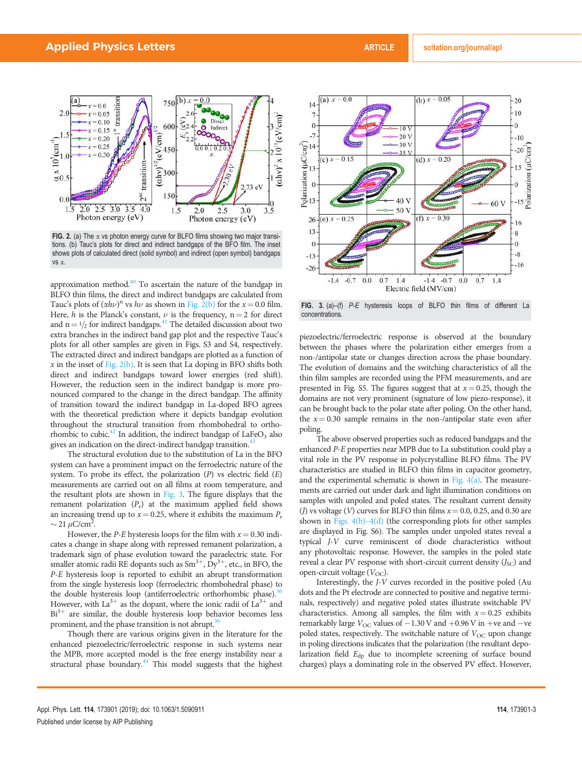

FIG. 2. (a) The  $\alpha$  vs photon energy curve for BLFO films showing two major transitions. (b) Tauc's plots for direct and indirect bandgaps of the BFO film. The inset shows plots of calculated direct (solid symbol) and indirect (open symbol) bandgaps vs  $x$ .

approximation method. $40$  To ascertain the nature of the bandgap in BLFO thin films, the direct and indirect bandgaps are calculated from Tauc's plots of  $(\alpha h\nu)^n$  vs  $h\nu$  as shown in Fig. 2(b) for the  $x = 0.0$  film. Here, h is the Planck's constant,  $\nu$  is the frequency, n = 2 for direct and  $n = 1/2$  for indirect bandgaps.<sup>41</sup> The detailed discussion about two extra branches in the indirect band gap plot and the respective Tauc's plots for all other samples are given in Figs. S3 and S4, respectively. The extracted direct and indirect bandgaps are plotted as a function of  $x$  in the inset of Fig. 2(b). It is seen that La doping in BFO shifts both direct and indirect bandgaps toward lower energies (red shift). However, the reduction seen in the indirect bandgap is more pronounced compared to the change in the direct bandgap. The affinity of transition toward the indirect bandgap in La-doped BFO agrees with the theoretical prediction where it depicts bandgap evolution throughout the structural transition from rhombohedral to orthorhombic to cubic.<sup>42</sup> In addition, the indirect bandgap of LaFe $O_3$  also gives an indication on the direct-indirect bandgap transition.<sup>43</sup>

The structural evolution due to the substitution of La in the BFO system can have a prominent impact on the ferroelectric nature of the system. To probe its effect, the polarization  $(P)$  vs electric field  $(E)$ measurements are carried out on all films at room temperature, and the resultant plots are shown in Fig. 3. The figure displays that the remanent polarization  $(P_r)$  at the maximum applied field shows an increasing trend up to  $x = 0.25$ , where it exhibits the maximum  $P_r$  $\sim$  21  $\mu$ C/cm<sup>2</sup>.

However, the *P-E* hysteresis loops for the film with  $x = 0.30$  indicates a change in shape along with repressed remanent polarization, a trademark sign of phase evolution toward the paraelectric state. For smaller atomic radii RE dopants such as  $Sm^{3+}$ ,  $Dy^{3+}$ , etc., in BFO, the P-E hysteresis loop is reported to exhibit an abrupt transformation from the single hysteresis loop (ferroelectric rhombohedral phase) to the double hysteresis loop (antiferroelectric orthorhombic phase).<sup>36</sup> However, with  $La^{3+}$  as the dopant, where the ionic radii of  $La^{3+}$  and  $Bi^{3+}$  are similar, the double hysteresis loop behavior becomes less prominent, and the phase transition is not abrupt. $36$ 

Though there are various origins given in the literature for the enhanced piezoelectric/ferroelectric response in such systems near the MPB, more accepted model is the free energy instability near a structural phase boundary. $44$  This model suggests that the highest



FIG. 3. (a)–(f) P-E hysteresis loops of BLFO thin films of different La concentrations.

piezoelectric/ferroelectric response is observed at the boundary between the phases where the polarization either emerges from a non-/antipolar state or changes direction across the phase boundary. The evolution of domains and the switching characteristics of all the thin film samples are recorded using the PFM measurements, and are presented in Fig. S5. The figures suggest that at  $x = 0.25$ , though the domains are not very prominent (signature of low piezo-response), it can be brought back to the polar state after poling. On the other hand, the  $x = 0.30$  sample remains in the non-/antipolar state even after poling.

The above observed properties such as reduced bandgaps and the enhanced P-E properties near MPB due to La substitution could play a vital role in the PV response in polycrystalline BLFO films. The PV characteristics are studied in BLFO thin films in capacitor geometry, and the experimental schematic is shown in Fig.  $4(a)$ . The measurements are carried out under dark and light illumination conditions on samples with unpoled and poled states. The resultant current density (*J*) vs voltage (*V*) curves for BLFO thin films  $x = 0.0, 0.25,$  and 0.30 are shown in Figs. 4(b)–4(d) (the corresponding plots for other samples are displayed in Fig. S6). The samples under unpoled states reveal a typical J-V curve reminiscent of diode characteristics without any photovoltaic response. However, the samples in the poled state reveal a clear PV response with short-circuit current density  $(J_{SC})$  and open-circuit voltage  $(V_{\text{OC}})$ .

Interestingly, the J-V curves recorded in the positive poled (Au dots and the Pt electrode are connected to positive and negative terminals, respectively) and negative poled states illustrate switchable PV characteristics. Among all samples, the film with  $x = 0.25$  exhibits remarkably large  $V_{\rm OC}$  values of  $-1.30$  V and  $+0.96$  V in  $+$ ve and  $-$ ve poled states, respectively. The switchable nature of  $V_{OC}$  upon change in poling directions indicates that the polarization (the resultant depolarization field  $E_{dp}$  due to incomplete screening of surface bound charges) plays a dominating role in the observed PV effect. However,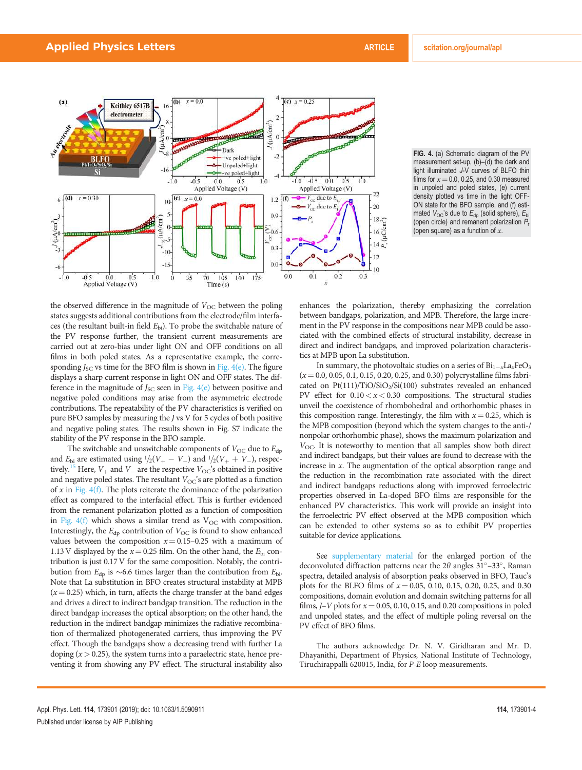

FIG. 4. (a) Schematic diagram of the PV measurement set-up, (b)–(d) the dark and light illuminated J-V curves of BLFO thin films for  $x = 0.0$ , 0.25, and 0.30 measured in unpoled and poled states, (e) current density plotted vs time in the light OFF-ON state for the BFO sample, and (f) estimated  $V_{OC}$ 's due to  $E_{dp}$  (solid sphere),  $E_{bi}$ (open circle) and remanent polarization  $P_r$ (open square) as a function of  $x$ .

the observed difference in the magnitude of  $V_{\text{OC}}$  between the poling states suggests additional contributions from the electrode/film interfaces (the resultant built-in field  $E<sub>bi</sub>$ ). To probe the switchable nature of the PV response further, the transient current measurements are carried out at zero-bias under light ON and OFF conditions on all films in both poled states. As a representative example, the corresponding  $J_{SC}$  vs time for the BFO film is shown in Fig. 4(e). The figure displays a sharp current response in light ON and OFF states. The difference in the magnitude of  $J_{SC}$  seen in Fig.  $4(e)$  between positive and negative poled conditions may arise from the asymmetric electrode contributions. The repeatability of the PV characteristics is verified on pure BFO samples by measuring the J vs V for 5 cycles of both positive and negative poling states. The results shown in Fig. S7 indicate the stability of the PV response in the BFO sample.

The switchable and unswitchable components of  $V_{\text{OC}}$  due to  $E_{\text{db}}$ and  $E_{\text{bi}}$  are estimated using  $1/2(V_{+} - V_{-})$  and  $1/2(V_{+} + V_{-})$ , respectively.<sup>15</sup> Here,  $V_+$  and  $V_-$  are the respective  $V_{OC}$ 's obtained in positive and negative poled states. The resultant  $V_{OC}$ 's are plotted as a function of  $x$  in Fig. 4(f). The plots reiterate the dominance of the polarization effect as compared to the interfacial effect. This is further evidenced from the remanent polarization plotted as a function of composition in Fig.  $4(f)$  which shows a similar trend as  $V_{OC}$  with composition. Interestingly, the  $E_{dp}$  contribution of  $V_{OC}$  is found to show enhanced values between the composition  $x = 0.15-0.25$  with a maximum of 1.13 V displayed by the  $x = 0.25$  film. On the other hand, the  $E_{\text{bi}}$  contribution is just 0.17 V for the same composition. Notably, the contribution from  $E_{dp}$  is ~6.6 times larger than the contribution from  $E_{bi}$ . Note that La substitution in BFO creates structural instability at MPB  $(x=0.25)$  which, in turn, affects the charge transfer at the band edges and drives a direct to indirect bandgap transition. The reduction in the direct bandgap increases the optical absorption; on the other hand, the reduction in the indirect bandgap minimizes the radiative recombination of thermalized photogenerated carriers, thus improving the PV effect. Though the bandgaps show a decreasing trend with further La doping  $(x > 0.25)$ , the system turns into a paraelectric state, hence preventing it from showing any PV effect. The structural instability also enhances the polarization, thereby emphasizing the correlation between bandgaps, polarization, and MPB. Therefore, the large increment in the PV response in the compositions near MPB could be associated with the combined effects of structural instability, decrease in direct and indirect bandgaps, and improved polarization characteristics at MPB upon La substitution.

In summary, the photovoltaic studies on a series of  $\rm{Bi}_{1-x}La_{x}FeO_{3}$  $(x = 0.0, 0.05, 0.1, 0.15, 0.20, 0.25, and 0.30)$  polycrystalline films fabricated on Pt(111)/TiO/SiO<sub>2</sub>/Si(100) substrates revealed an enhanced PV effect for  $0.10 < x < 0.30$  compositions. The structural studies unveil the coexistence of rhombohedral and orthorhombic phases in this composition range. Interestingly, the film with  $x = 0.25$ , which is the MPB composition (beyond which the system changes to the anti-/ nonpolar orthorhombic phase), shows the maximum polarization and  $V_{\text{OC}}$ . It is noteworthy to mention that all samples show both direct and indirect bandgaps, but their values are found to decrease with the increase in x. The augmentation of the optical absorption range and the reduction in the recombination rate associated with the direct and indirect bandgaps reductions along with improved ferroelectric properties observed in La-doped BFO films are responsible for the enhanced PV characteristics. This work will provide an insight into the ferroelectric PV effect observed at the MPB composition which can be extended to other systems so as to exhibit PV properties suitable for device applications.

See supplementary material for the enlarged portion of the deconvoluted diffraction patterns near the  $2\theta$  angles  $31^{\circ}$  -33°, Raman spectra, detailed analysis of absorption peaks observed in BFO, Tauc's plots for the BLFO films of  $x = 0.05, 0.10, 0.15, 0.20, 0.25,$  and 0.30 compositions, domain evolution and domain switching patterns for all films,  $J-V$  plots for  $x = 0.05, 0.10, 0.15,$  and 0.20 compositions in poled and unpoled states, and the effect of multiple poling reversal on the PV effect of BFO films.

The authors acknowledge Dr. N. V. Giridharan and Mr. D. Dhayanithi, Department of Physics, National Institute of Technology, Tiruchirappalli 620015, India, for P-E loop measurements.